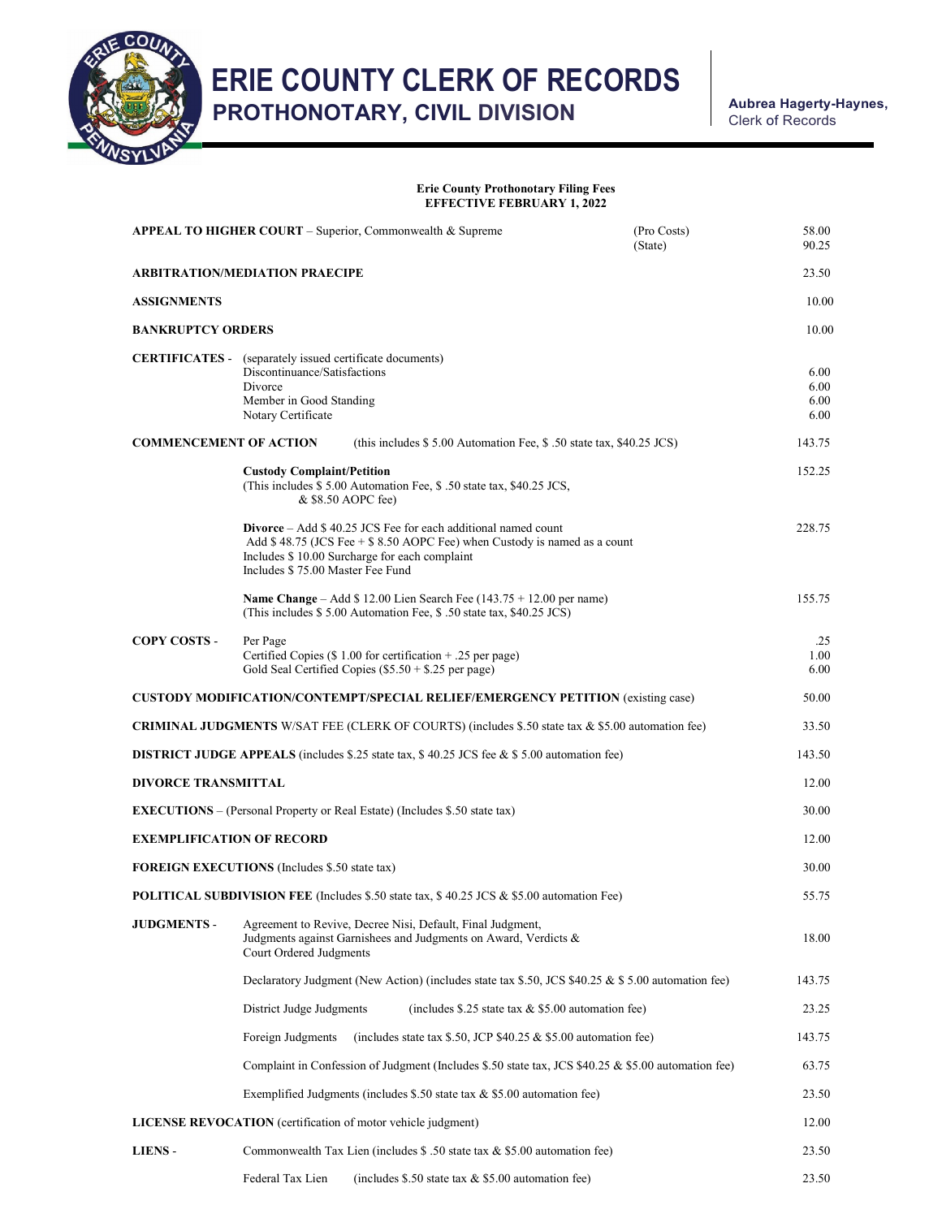

ERIE COUNTY CLERK OF RECORDS<br>
PROTUQUOTARY CIVIL PIVISION

PROTHONOTARY, CIVIL DIVISION

Clerk of Records

## Erie County Prothonotary Filing Fees EFFECTIVE FEBRUARY 1, 2022

| APPEAL TO HIGHER COURT – Superior, Commonwealth & Supreme                                                | (Pro Costs)<br>(State)                                                                                                                                                                                                                   | 58.00<br>90.25 |        |  |  |
|----------------------------------------------------------------------------------------------------------|------------------------------------------------------------------------------------------------------------------------------------------------------------------------------------------------------------------------------------------|----------------|--------|--|--|
| <b>ARBITRATION/MEDIATION PRAECIPE</b>                                                                    |                                                                                                                                                                                                                                          |                |        |  |  |
| <b>ASSIGNMENTS</b>                                                                                       |                                                                                                                                                                                                                                          |                | 10.00  |  |  |
| <b>BANKRUPTCY ORDERS</b>                                                                                 |                                                                                                                                                                                                                                          |                | 10.00  |  |  |
|                                                                                                          | <b>CERTIFICATES</b> - (separately issued certificate documents)<br>Discontinuance/Satisfactions<br>Divorce<br>Member in Good Standing<br>Notary Certificate                                                                              |                |        |  |  |
| <b>COMMENCEMENT OF ACTION</b><br>(this includes $$5.00$ Automation Fee, $$.50$ state tax, $$40.25$ JCS)  |                                                                                                                                                                                                                                          |                |        |  |  |
|                                                                                                          | <b>Custody Complaint/Petition</b><br>(This includes \$5.00 Automation Fee, \$.50 state tax, \$40.25 JCS,<br>& \$8.50 AOPC fee)                                                                                                           |                | 152.25 |  |  |
|                                                                                                          | <b>Divorce</b> – Add $$40.25$ JCS Fee for each additional named count<br>Add \$48.75 (JCS Fee $+$ \$8.50 AOPC Fee) when Custody is named as a count<br>Includes \$10.00 Surcharge for each complaint<br>Includes \$75.00 Master Fee Fund |                | 228.75 |  |  |
|                                                                                                          | <b>Name Change</b> – Add $$12.00$ Lien Search Fee (143.75 + 12.00 per name)<br>(This includes \$5.00 Automation Fee, \$5.00 state tax, \$40.25 JCS)                                                                                      |                | 155.75 |  |  |
| <b>COPY COSTS -</b>                                                                                      | Per Page<br>Certified Copies (\$1.00 for certification + .25 per page)<br>Gold Seal Certified Copies $(\$5.50 + \$.25$ per page)                                                                                                         |                |        |  |  |
| <b>CUSTODY MODIFICATION/CONTEMPT/SPECIAL RELIEF/EMERGENCY PETITION (existing case)</b>                   |                                                                                                                                                                                                                                          |                | 50.00  |  |  |
| <b>CRIMINAL JUDGMENTS</b> W/SAT FEE (CLERK OF COURTS) (includes \$.50 state tax & \$5.00 automation fee) |                                                                                                                                                                                                                                          |                | 33.50  |  |  |
| <b>DISTRICT JUDGE APPEALS</b> (includes \$.25 state tax, \$40.25 JCS fee & \$5.00 automation fee)        |                                                                                                                                                                                                                                          |                |        |  |  |
| <b>DIVORCE TRANSMITTAL</b>                                                                               |                                                                                                                                                                                                                                          |                |        |  |  |
| <b>EXECUTIONS</b> – (Personal Property or Real Estate) (Includes \$.50 state tax)                        |                                                                                                                                                                                                                                          |                | 30.00  |  |  |
| <b>EXEMPLIFICATION OF RECORD</b>                                                                         |                                                                                                                                                                                                                                          |                | 12.00  |  |  |
| <b>FOREIGN EXECUTIONS</b> (Includes \$.50 state tax)                                                     |                                                                                                                                                                                                                                          |                |        |  |  |
| <b>POLITICAL SUBDIVISION FEE</b> (Includes \$.50 state tax, \$40.25 JCS & \$5.00 automation Fee)         |                                                                                                                                                                                                                                          |                | 55.75  |  |  |
| <b>JUDGMENTS -</b>                                                                                       | Agreement to Revive, Decree Nisi, Default, Final Judgment,<br>Judgments against Garnishees and Judgments on Award, Verdicts &<br>Court Ordered Judgments                                                                                 |                | 18.00  |  |  |
|                                                                                                          | Declaratory Judgment (New Action) (includes state tax \$.50, JCS $$40.25 \& $5.00$ automation fee)                                                                                                                                       |                | 143.75 |  |  |
|                                                                                                          | District Judge Judgments<br>(includes \$.25 state tax $&$ \$5.00 automation fee)                                                                                                                                                         |                | 23.25  |  |  |
|                                                                                                          | Foreign Judgments<br>(includes state tax \$.50, JCP $$40.25 \& $5.00$ automation fee)                                                                                                                                                    |                | 143.75 |  |  |
|                                                                                                          | Complaint in Confession of Judgment (Includes \$.50 state tax, JCS \$40.25 & \$5.00 automation fee)                                                                                                                                      |                | 63.75  |  |  |
|                                                                                                          | Exemplified Judgments (includes \$.50 state tax $&$ \$5.00 automation fee)                                                                                                                                                               |                |        |  |  |
| <b>LICENSE REVOCATION</b> (certification of motor vehicle judgment)                                      |                                                                                                                                                                                                                                          |                |        |  |  |
| <b>LIENS-</b>                                                                                            | Commonwealth Tax Lien (includes $$.50$ state tax $& $5.00$ automation fee)                                                                                                                                                               |                | 23.50  |  |  |
|                                                                                                          | (includes $$.50$ state tax & \$5.00 automation fee)<br>Federal Tax Lien                                                                                                                                                                  |                | 23.50  |  |  |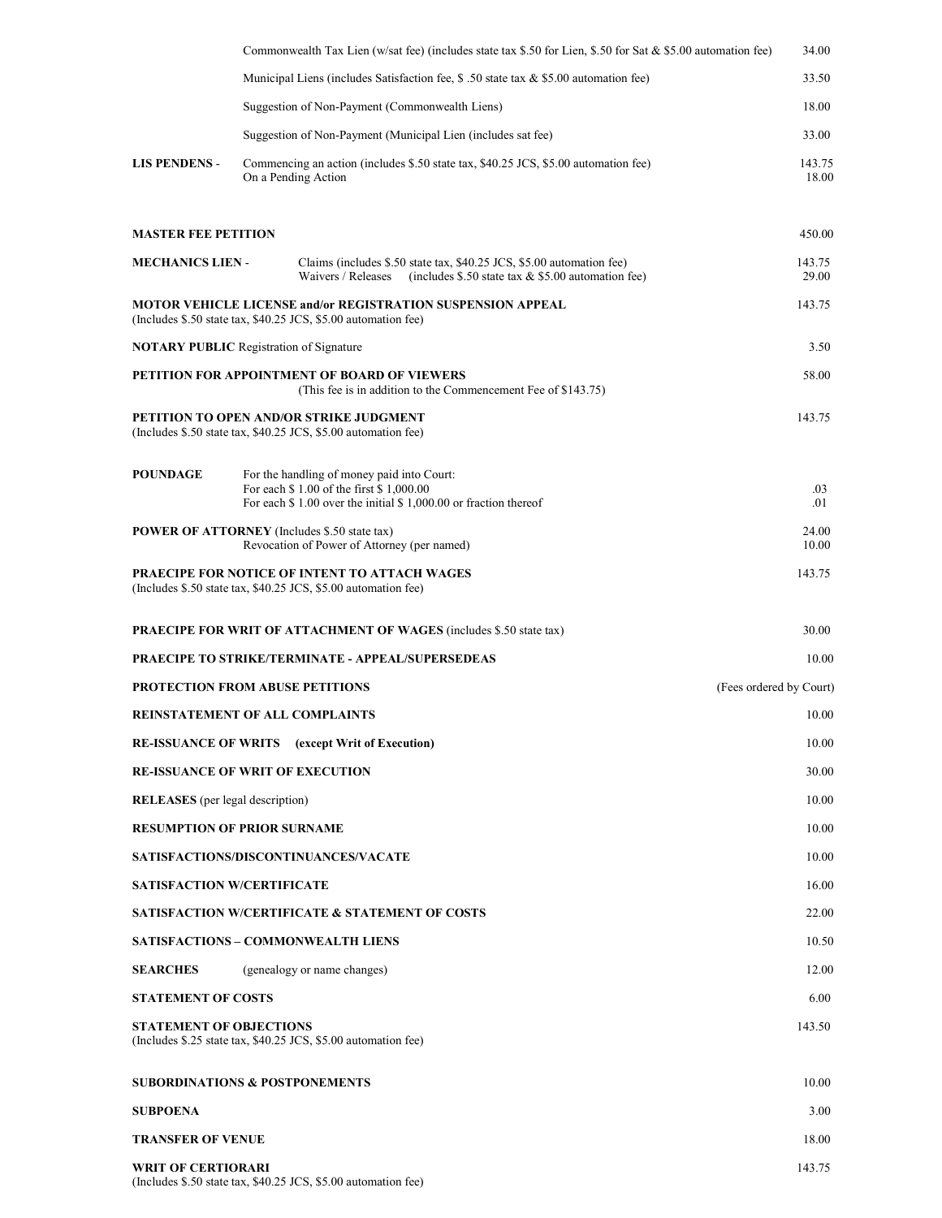|                                                     |       | Commonwealth Tax Lien (w/sat fee) (includes state tax \$.50 for Lien, \$.50 for Sat & \$5.00 automation fee)                                               | 34.00                   |  |
|-----------------------------------------------------|-------|------------------------------------------------------------------------------------------------------------------------------------------------------------|-------------------------|--|
|                                                     |       | Municipal Liens (includes Satisfaction fee, \$.50 state tax & \$5.00 automation fee)                                                                       | 33.50                   |  |
|                                                     |       | Suggestion of Non-Payment (Commonwealth Liens)                                                                                                             | 18.00                   |  |
|                                                     |       | Suggestion of Non-Payment (Municipal Lien (includes sat fee)                                                                                               | 33.00                   |  |
| <b>LIS PENDENS -</b>                                |       | Commencing an action (includes \$.50 state tax, \$40.25 JCS, \$5.00 automation fee)<br>On a Pending Action                                                 | 143.75<br>18.00         |  |
| <b>MASTER FEE PETITION</b>                          |       |                                                                                                                                                            | 450.00                  |  |
| <b>MECHANICS LIEN -</b>                             |       | Claims (includes \$.50 state tax, \$40.25 JCS, \$5.00 automation fee)<br>Waivers / Releases<br>(includes $$.50$ state tax & \$5.00 automation fee)         | 143.75<br>29.00         |  |
|                                                     |       | <b>MOTOR VEHICLE LICENSE and/or REGISTRATION SUSPENSION APPEAL</b><br>(Includes \$.50 state tax, \$40.25 JCS, \$5.00 automation fee)                       | 143.75                  |  |
| <b>NOTARY PUBLIC</b> Registration of Signature      |       |                                                                                                                                                            | 3.50                    |  |
|                                                     |       | <b>PETITION FOR APPOINTMENT OF BOARD OF VIEWERS</b><br>(This fee is in addition to the Commencement Fee of \$143.75)                                       | 58.00                   |  |
|                                                     |       | PETITION TO OPEN AND/OR STRIKE JUDGMENT<br>(Includes \$.50 state tax, \$40.25 JCS, \$5.00 automation fee)                                                  | 143.75                  |  |
| <b>POUNDAGE</b>                                     |       | For the handling of money paid into Court:<br>For each \$1.00 of the first \$1,000.00<br>For each $$1.00$ over the initial $$1,000.00$ or fraction thereof | .03<br>.01              |  |
| <b>POWER OF ATTORNEY</b> (Includes \$.50 state tax) |       | Revocation of Power of Attorney (per named)                                                                                                                | 24.00<br>10.00          |  |
|                                                     |       | PRAECIPE FOR NOTICE OF INTENT TO ATTACH WAGES<br>(Includes \$.50 state tax, \$40.25 JCS, \$5.00 automation fee)                                            | 143.75                  |  |
|                                                     |       | <b>PRAECIPE FOR WRIT OF ATTACHMENT OF WAGES (includes \$.50 state tax)</b>                                                                                 | 30.00                   |  |
|                                                     |       | <b>PRAECIPE TO STRIKE/TERMINATE - APPEAL/SUPERSEDEAS</b>                                                                                                   | 10.00                   |  |
| <b>PROTECTION FROM ABUSE PETITIONS</b>              |       |                                                                                                                                                            | (Fees ordered by Court) |  |
| <b>REINSTATEMENT OF ALL COMPLAINTS</b>              |       |                                                                                                                                                            | 10.00                   |  |
|                                                     |       | <b>RE-ISSUANCE OF WRITS</b> (except Writ of Execution)                                                                                                     | 10.00                   |  |
| <b>RE-ISSUANCE OF WRIT OF EXECUTION</b><br>30.00    |       |                                                                                                                                                            |                         |  |
| <b>RELEASES</b> (per legal description)             | 10.00 |                                                                                                                                                            |                         |  |
| <b>RESUMPTION OF PRIOR SURNAME</b><br>10.00         |       |                                                                                                                                                            |                         |  |
|                                                     |       | SATISFACTIONS/DISCONTINUANCES/VACATE                                                                                                                       | 10.00                   |  |
| <b>SATISFACTION W/CERTIFICATE</b>                   |       |                                                                                                                                                            | 16.00                   |  |
|                                                     |       | <b>SATISFACTION W/CERTIFICATE &amp; STATEMENT OF COSTS</b>                                                                                                 | 22.00                   |  |
|                                                     |       | <b>SATISFACTIONS - COMMONWEALTH LIENS</b>                                                                                                                  | 10.50                   |  |
| <b>SEARCHES</b>                                     |       | (genealogy or name changes)                                                                                                                                | 12.00                   |  |
| <b>STATEMENT OF COSTS</b>                           |       |                                                                                                                                                            | 6.00                    |  |
| <b>STATEMENT OF OBJECTIONS</b>                      |       | (Includes \$.25 state tax, \$40.25 JCS, \$5.00 automation fee)                                                                                             | 143.50                  |  |
| <b>SUBORDINATIONS &amp; POSTPONEMENTS</b>           |       |                                                                                                                                                            | 10.00                   |  |
| <b>SUBPOENA</b>                                     |       |                                                                                                                                                            | 3.00                    |  |
| <b>TRANSFER OF VENUE</b>                            |       |                                                                                                                                                            | 18.00                   |  |
| <b>WRIT OF CERTIORARI</b>                           |       | (Includes \$.50 state tax, \$40.25 JCS, \$5.00 automation fee)                                                                                             | 143.75                  |  |